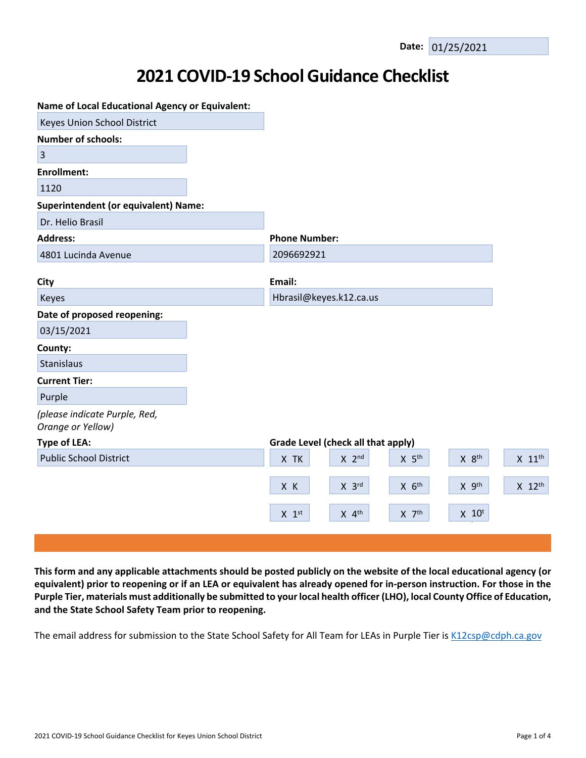# **2021 COVID-19 School Guidance Checklist**

| <b>Name of Local Educational Agency or Equivalent:</b> |                                                                              |                      |
|--------------------------------------------------------|------------------------------------------------------------------------------|----------------------|
| Keyes Union School District                            |                                                                              |                      |
| <b>Number of schools:</b>                              |                                                                              |                      |
| $\overline{3}$                                         |                                                                              |                      |
| <b>Enrollment:</b>                                     |                                                                              |                      |
| 1120                                                   |                                                                              |                      |
| <b>Superintendent (or equivalent) Name:</b>            |                                                                              |                      |
| Dr. Helio Brasil                                       |                                                                              |                      |
| <b>Address:</b>                                        | <b>Phone Number:</b>                                                         |                      |
| 4801 Lucinda Avenue                                    | 2096692921                                                                   |                      |
|                                                        |                                                                              |                      |
| City                                                   | Email:                                                                       |                      |
| Keyes                                                  | Hbrasil@keyes.k12.ca.us                                                      |                      |
| Date of proposed reopening:                            |                                                                              |                      |
| 03/15/2021                                             |                                                                              |                      |
| County:                                                |                                                                              |                      |
| Stanislaus                                             |                                                                              |                      |
| <b>Current Tier:</b>                                   |                                                                              |                      |
| Purple                                                 |                                                                              |                      |
| (please indicate Purple, Red,<br>Orange or Yellow)     |                                                                              |                      |
| <b>Type of LEA:</b>                                    | Grade Level (check all that apply)                                           |                      |
| <b>Public School District</b>                          | $X$ $8th$<br>X TK<br>$X$ 2 <sup>nd</sup><br>$X$ 5 <sup>th</sup>              | $X$ 11 <sup>th</sup> |
|                                                        | $X$ $6th$<br>X 9th<br>X K<br>$X$ 3rd                                         | $X$ 12 <sup>th</sup> |
|                                                        | $X$ 7 <sup>th</sup><br>$X$ 10 <sup>t</sup><br>$X$ 4 <sup>th</sup><br>$X$ 1st |                      |
|                                                        |                                                                              |                      |

This form and any applicable attachments should be posted publicly on the website of the local educational agency (or equivalent) prior to reopening or if an LEA or equivalent has already opened for in-person instruction. For those in the Purple Tier, materials must additionally be submitted to your local health officer (LHO), local County Office of Education, **and the State School Safety Team prior to reopening.**

The email address for submission to the State School Safety for All Team for LEAs in Purple Tier is [K12csp@cdph.ca.gov](mailto:K12csp@cdph.ca.gov)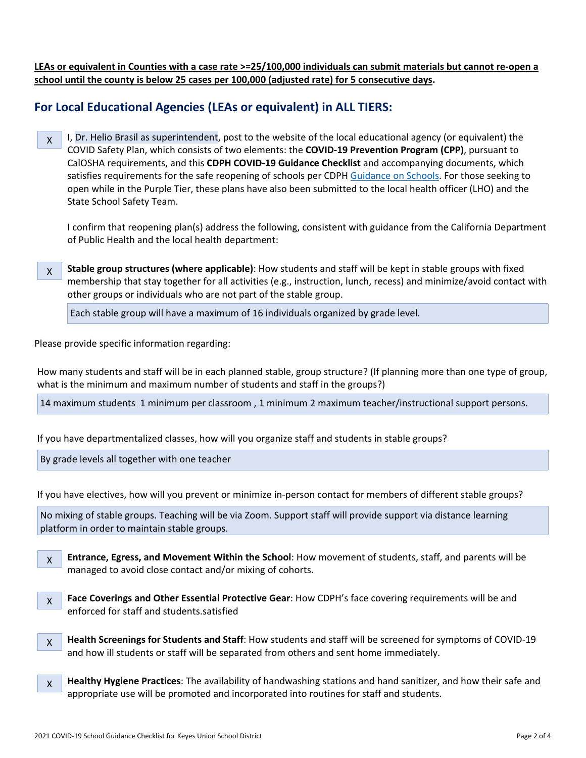LEAs or equivalent in Counties with a case rate >=25/100,000 individuals can submit materials but cannot re-open a **school until the county is below 25 cases per 100,000 (adjusted rate) for 5 consecutive days.**

## **For Local Educational Agencies (LEAs or equivalent) in ALL TIERS:**

X I, Dr. Helio Brasil as superintendent, post to the website of the local educational agency (or equivalent) the COVID Safety Plan, which consists of two elements: the **COVID-19 Prevention Program (CPP)**, pursuant to CalOSHA requirements, and this **CDPH COVID-19 Guidance Checklist** and accompanying documents, which satisfies requirements for the safe reopening of schools per CDPH [Guidance](https://www.cdph.ca.gov/Programs/CID/DCDC/CDPH%20Document%20Library/COVID-19/Consolidated_Schools_Guidance.pdf) on Schools. For those seeking to open while in the Purple Tier, these plans have also been submitted to the local health officer (LHO) and the State School Safety Team.

I confirm that reopening plan(s) address the following, consistent with guidance from the California Department of Public Health and the local health department:

X **Stable group structures (where applicable)**: How students and staff will be kept in stable groups with fixed membership that stay together for all activities (e.g., instruction, lunch, recess) and minimize/avoid contact with other groups or individuals who are not part of the stable group.

Each stable group will have a maximum of 16 individuals organized by grade level.

Please provide specific information regarding:

How many students and staff will be in each planned stable, group structure? (If planning more than one type of group, what is the minimum and maximum number of students and staff in the groups?)

14 maximum students 1 minimum per classroom , 1 minimum 2 maximum teacher/instructional support persons.

If you have departmentalized classes, how will you organize staff and students in stable groups?

By grade levels all together with one teacher-

If you have electives, how will you prevent or minimize in-person contact for members of different stable groups?

No mixing of stable groups. Teaching will be via Zoom. Support staff will provide support via distance learning platform in order to maintain stable groups.

X **Entrance, Egress, and Movement Within the School**: How movement of students, staff, and parents will be managed to avoid close contact and/or mixing of cohorts.



**Face Coverings and Other Essential Protective Gear**: How CDPH's face covering requirements will be and enforced for staff and students.satisfied

- X **Health Screenings for Students and Staff**: How students and staff will be screened for symptoms of COVID-19 and how ill students or staff will be separated from others and sent home immediately.
- X **Healthy Hygiene Practices**: The availability of handwashing stations and hand sanitizer, and how their safe and appropriate use will be promoted and incorporated into routines for staff and students.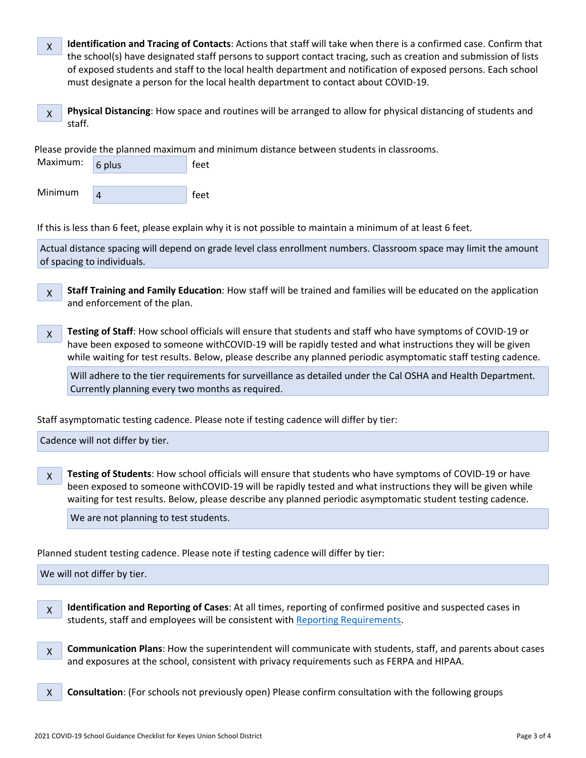| X | Identification and Tracing of Contacts: Actions that staff will take when there is a confirmed case. Confirm that |
|---|-------------------------------------------------------------------------------------------------------------------|
|   | the school(s) have designated staff persons to support contact tracing, such as creation and submission of lists  |
|   | of exposed students and staff to the local health department and notification of exposed persons. Each school     |
|   | must designate a person for the local health department to contact about COVID-19.                                |

X **Physical Distancing**: How space and routines will be arranged to allow for physical distancing of students and staff.

Please provide the planned maximum and minimum distance between students in classrooms.



If this is less than 6 feet, please explain why it is not possible to maintain a minimum of at least 6 feet.

Actual distance spacing will depend on grade level class enrollment numbers. Classroom space may limit the amount of spacing to individuals.

X **Staff Training and Family Education**: How staff will be trained and families will be educated on the application and enforcement of the plan.

X **Testing of Staff**: How school officials will ensure that students and staff who have symptoms of COVID-19 or have been exposed to someone withCOVID-19 will be rapidly tested and what instructions they will be given while waiting for test results. Below, please describe any planned periodic asymptomatic staff testing cadence.

Will adhere to the tier requirements for surveillance as detailed under the Cal OSHA and Health Department. Currently planning every two months as required.

Staff asymptomatic testing cadence. Please note if testing cadence will differ by tier:

Cadence will not differ by tier.

X **Testing of Students**: How school officials will ensure that students who have symptoms of COVID-19 or have been exposed to someone withCOVID-19 will be rapidly tested and what instructions they will be given while waiting for test results. Below, please describe any planned periodic asymptomatic student testing cadence.

We are not planning to test students.

Planned student testing cadence. Please note if testing cadence will differ by tier:

We will not differ by tier.

X **Identification and Reporting of Cases**: At all times, reporting of confirmed positive and suspected cases in students, staff and employees will be consistent with Reporting [Requirements](http://www.doc-tracking.com/screenshots/COVID-19/Case%20Reporting%20by%20Schools%20Directive.pdf).

X **Communication Plans**: How the superintendent will communicate with students, staff, and parents about cases and exposures at the school, consistent with privacy requirements such as FERPA and HIPAA.

X **Consultation**: (For schools not previously open) Please confirm consultation with the following groups